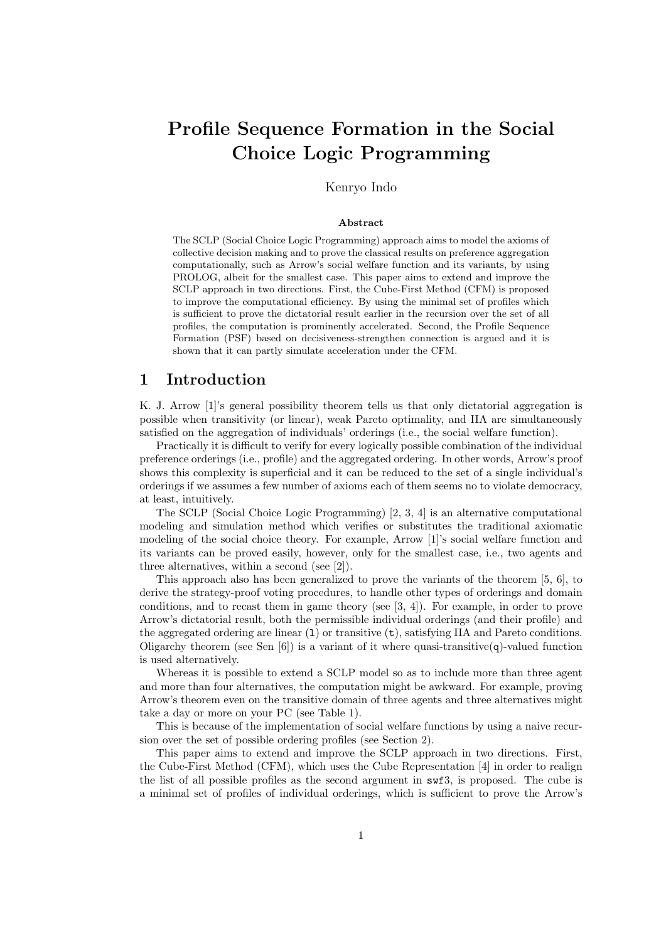# Profile Sequence Formation in the Social Choice Logic Programming

#### Kenryo Indo

#### Abstract

The SCLP (Social Choice Logic Programming) approach aims to model the axioms of collective decision making and to prove the classical results on preference aggregation computationally, such as Arrow's social welfare function and its variants, by using PROLOG, albeit for the smallest case. This paper aims to extend and improve the SCLP approach in two directions. First, the Cube-First Method (CFM) is proposed to improve the computational efficiency. By using the minimal set of profiles which is sufficient to prove the dictatorial result earlier in the recursion over the set of all profiles, the computation is prominently accelerated. Second, the Profile Sequence Formation (PSF) based on decisiveness-strengthen connection is argued and it is shown that it can partly simulate acceleration under the CFM.

#### 1 Introduction

K. J. Arrow [1]'s general possibility theorem tells us that only dictatorial aggregation is possible when transitivity (or linear), weak Pareto optimality, and IIA are simultaneously satisfied on the aggregation of individuals' orderings (i.e., the social welfare function).

Practically it is difficult to verify for every logically possible combination of the individual preference orderings (i.e., profile) and the aggregated ordering. In other words, Arrow's proof shows this complexity is superficial and it can be reduced to the set of a single individual's orderings if we assumes a few number of axioms each of them seems no to violate democracy, at least, intuitively.

The SCLP (Social Choice Logic Programming) [2, 3, 4] is an alternative computational modeling and simulation method which verifies or substitutes the traditional axiomatic modeling of the social choice theory. For example, Arrow [1]'s social welfare function and its variants can be proved easily, however, only for the smallest case, i.e., two agents and three alternatives, within a second (see [2]).

This approach also has been generalized to prove the variants of the theorem [5, 6], to derive the strategy-proof voting procedures, to handle other types of orderings and domain conditions, and to recast them in game theory (see [3, 4]). For example, in order to prove Arrow's dictatorial result, both the permissible individual orderings (and their profile) and the aggregated ordering are linear  $(1)$  or transitive  $(t)$ , satisfying IIA and Pareto conditions. Oligarchy theorem (see Sen  $[6]$ ) is a variant of it where quasi-transitive(q)-valued function is used alternatively.

Whereas it is possible to extend a SCLP model so as to include more than three agent and more than four alternatives, the computation might be awkward. For example, proving Arrow's theorem even on the transitive domain of three agents and three alternatives might take a day or more on your PC (see Table 1).

This is because of the implementation of social welfare functions by using a naive recursion over the set of possible ordering profiles (see Section 2).

This paper aims to extend and improve the SCLP approach in two directions. First, the Cube-First Method (CFM), which uses the Cube Representation [4] in order to realign the list of all possible profiles as the second argument in swf3, is proposed. The cube is a minimal set of profiles of individual orderings, which is sufficient to prove the Arrow's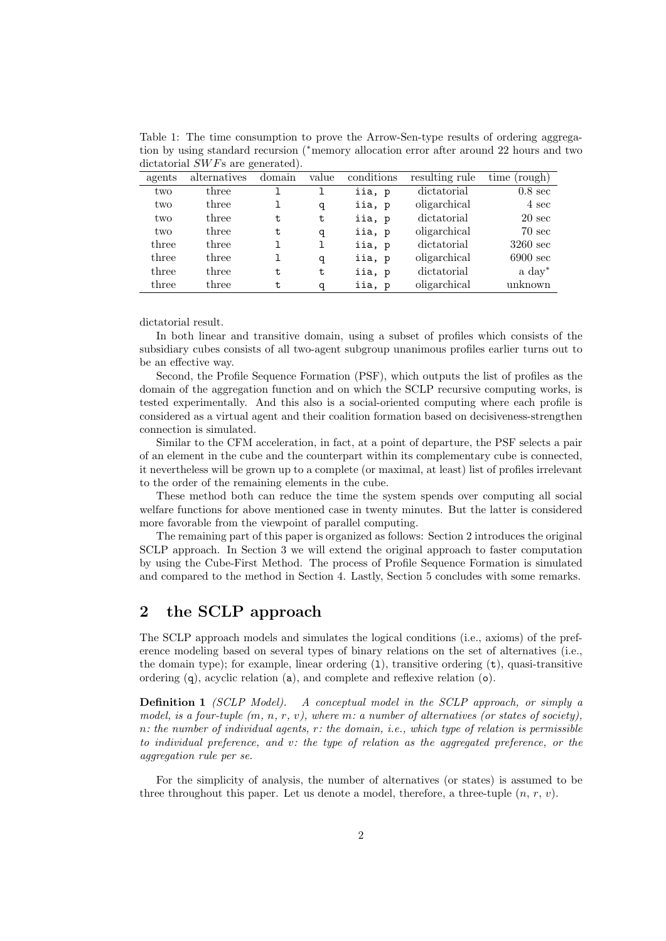Table 1: The time consumption to prove the Arrow-Sen-type results of ordering aggregation by using standard recursion (∗memory allocation error after around 22 hours and two dictatorial SWFs are generated).

| agents | alternatives | domain | value | conditions | resulting rule | time<br>(rough)    |
|--------|--------------|--------|-------|------------|----------------|--------------------|
| two    | three        |        |       | iia, p     | dictatorial    | $0.8 \text{ sec}$  |
| two    | three        |        | q     | iia, p     | oligarchical   | 4 sec              |
| two    | three        | t      | t     | iia, p     | dictatorial    | $20 \text{ sec}$   |
| two    | three        | t      | q     | iia, p     | oligarchical   | $70 \text{ sec}$   |
| three  | three        |        |       | iia, p     | dictatorial    | $3260 \text{ sec}$ |
| three  | three        |        | q     | iia, p     | oligarchical   | $6900 \text{ sec}$ |
| three  | three        | t      | t     | iia, p     | dictatorial    | $a\;day^*$         |
| three  | three        | t      | q     | iia, p     | oligarchical   | unknown            |

dictatorial result.

In both linear and transitive domain, using a subset of profiles which consists of the subsidiary cubes consists of all two-agent subgroup unanimous profiles earlier turns out to be an effective way.

Second, the Profile Sequence Formation (PSF), which outputs the list of profiles as the domain of the aggregation function and on which the SCLP recursive computing works, is tested experimentally. And this also is a social-oriented computing where each profile is considered as a virtual agent and their coalition formation based on decisiveness-strengthen connection is simulated.

Similar to the CFM acceleration, in fact, at a point of departure, the PSF selects a pair of an element in the cube and the counterpart within its complementary cube is connected, it nevertheless will be grown up to a complete (or maximal, at least) list of profiles irrelevant to the order of the remaining elements in the cube.

These method both can reduce the time the system spends over computing all social welfare functions for above mentioned case in twenty minutes. But the latter is considered more favorable from the viewpoint of parallel computing.

The remaining part of this paper is organized as follows: Section 2 introduces the original SCLP approach. In Section 3 we will extend the original approach to faster computation by using the Cube-First Method. The process of Profile Sequence Formation is simulated and compared to the method in Section 4. Lastly, Section 5 concludes with some remarks.

### 2 the SCLP approach

The SCLP approach models and simulates the logical conditions (i.e., axioms) of the preference modeling based on several types of binary relations on the set of alternatives (i.e., the domain type); for example, linear ordering  $(1)$ , transitive ordering  $(t)$ , quasi-transitive ordering (q), acyclic relation (a), and complete and reflexive relation (o).

**Definition 1** (SCLP Model). A conceptual model in the SCLP approach, or simply a model, is a four-tuple  $(m, n, r, v)$ , where m: a number of alternatives (or states of society), n: the number of individual agents,  $r$ : the domain, i.e., which type of relation is permissible to individual preference, and v: the type of relation as the aggregated preference, or the aggregation rule per se.

For the simplicity of analysis, the number of alternatives (or states) is assumed to be three throughout this paper. Let us denote a model, therefore, a three-tuple  $(n, r, v)$ .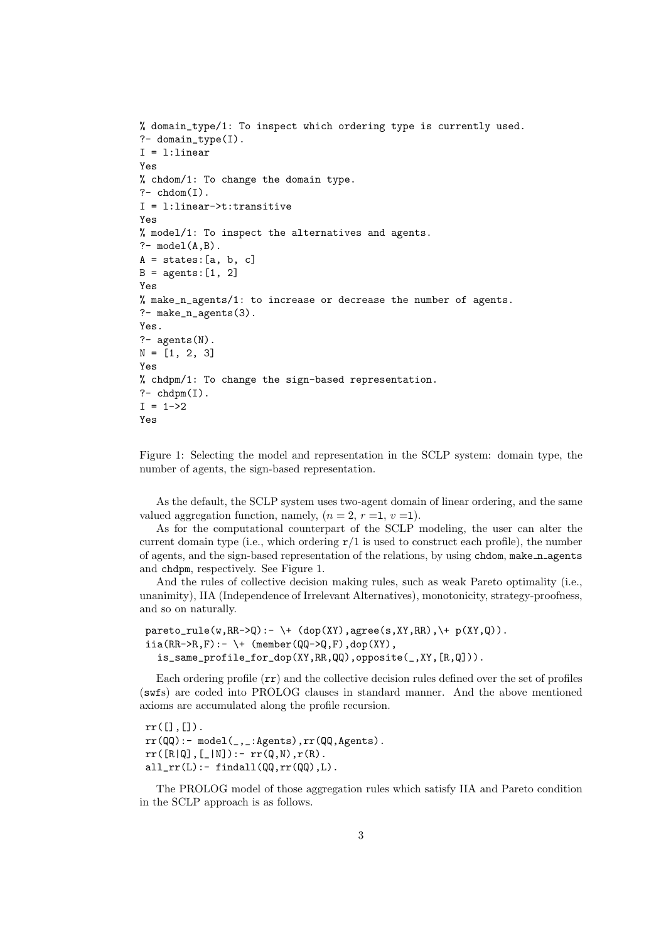```
% domain_type/1: To inspect which ordering type is currently used.
?- domain_type(I).
I = l:linear
Yes
% chdom/1: To change the domain type.
?- chdom(I).
I = l:linear->t:transitive
Yes
% model/1: To inspect the alternatives and agents.
?- model(A,B).
A = states: [a, b, c]B = \text{agents}: [1, 2]Yes
% make_n_agents/1: to increase or decrease the number of agents.
?- make_n_agents(3).
Yes.
?- agents(N).
N = [1, 2, 3]Yes
% chdpm/1: To change the sign-based representation.
?- chdpm(I).
I = 1 - > 2Yes
```
Figure 1: Selecting the model and representation in the SCLP system: domain type, the number of agents, the sign-based representation.

As the default, the SCLP system uses two-agent domain of linear ordering, and the same valued aggregation function, namely,  $(n = 2, r = 1, v = 1)$ .

As for the computational counterpart of the SCLP modeling, the user can alter the current domain type (i.e., which ordering  $r/1$  is used to construct each profile), the number of agents, and the sign-based representation of the relations, by using chdom, make n agents and chdpm, respectively. See Figure 1.

And the rules of collective decision making rules, such as weak Pareto optimality (i.e., unanimity), IIA (Independence of Irrelevant Alternatives), monotonicity, strategy-proofness, and so on naturally.

```
\text{pareto\_rule}(w,RR->Q):-\ \ \ \ \ \ \text{(dop(XY),agree}(s,XY,RR),\ \ \ \ \ \ \ \text{p}(XY,Q)).\text{via}(\text{RR->R}, F) : - \ + \(\text{member}(\text{QQ->Q}, F), \text{dop}(XY)),is_same_profile_for_dop(XY,RR,QQ),opposite(_,XY,[R,Q])).
```
Each ordering profile  $(rr)$  and the collective decision rules defined over the set of profiles (swfs) are coded into PROLOG clauses in standard manner. And the above mentioned axioms are accumulated along the profile recursion.

 $rr([], [])$ . rr(QQ):- model(\_,\_:Agents),rr(QQ,Agents).  $rr([R|Q], [N])$ :-  $rr(Q,N), r(R)$ .  $all\_rr(L):$  findall $(QQ,rr(QQ),L)$ .

The PROLOG model of those aggregation rules which satisfy IIA and Pareto condition in the SCLP approach is as follows.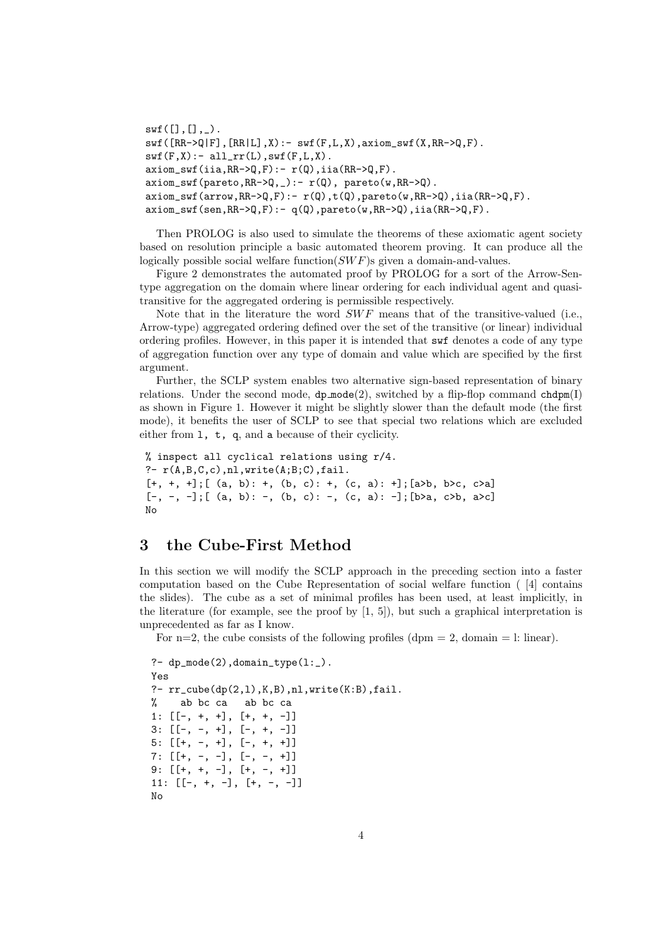$swf([], [], ...)$ .  $swf([RR->Q|F], [RR|L],X):= swf(F,L,X),axiom\_swf(X,RR->Q,F).$  $swf(F,X):= all\_rr(L), swf(F,L,X).$  $axiom\_swf(iia,RR->Q,F):$   $r(Q),$ iia $(RR->Q,F)$ .  $axiom\_swf(pareto,RR->Q, _):r(Q), parto(w,RR->Q).$  $axiom\_swf(\text{arrow},RR->Q,F):= r(Q), t(Q), \text{parent}(w,RR->Q), iia(RR->Q,F).$  $axiom\_swf(sen, RR->Q, F) :- q(Q), partoc(w, RR->Q), iia(RR->Q, F).$ 

Then PROLOG is also used to simulate the theorems of these axiomatic agent society based on resolution principle a basic automated theorem proving. It can produce all the logically possible social welfare function( $SWF$ )s given a domain-and-values.

Figure 2 demonstrates the automated proof by PROLOG for a sort of the Arrow-Sentype aggregation on the domain where linear ordering for each individual agent and quasitransitive for the aggregated ordering is permissible respectively.

Note that in the literature the word  $SWF$  means that of the transitive-valued (i.e., Arrow-type) aggregated ordering defined over the set of the transitive (or linear) individual ordering profiles. However, in this paper it is intended that swf denotes a code of any type of aggregation function over any type of domain and value which are specified by the first argument.

Further, the SCLP system enables two alternative sign-based representation of binary relations. Under the second mode,  $dp$  mode(2), switched by a flip-flop command  $chdpm(I)$ as shown in Figure 1. However it might be slightly slower than the default mode (the first mode), it benefits the user of SCLP to see that special two relations which are excluded either from l, t, q, and a because of their cyclicity.

```
% inspect all cyclical relations using r/4.
?- r(A,B,C,c), n1, write(A;B;C), fail.[+, +, +]; [ (a, b): +, (b, c): +, (c, a): +]; [a>b, b>c, c>a][-, -, -]; [ (a, b) : -, (b, c) : -, (c, a) : -]; [b > a, c > b, a > c]N<sub>O</sub>
```
#### 3 the Cube-First Method

In this section we will modify the SCLP approach in the preceding section into a faster computation based on the Cube Representation of social welfare function ( [4] contains the slides). The cube as a set of minimal profiles has been used, at least implicitly, in the literature (for example, see the proof by  $[1, 5]$ ), but such a graphical interpretation is unprecedented as far as I know.

For n=2, the cube consists of the following profiles (dpm = 2, domain = 1: linear).

```
?- dp_mode(2),domain_type(l:_).
Yes
?- rr\_cube(dp(2,1),K,B),n1,write(K:B),fail.% ab bc ca ab bc ca
1: [[-, +, +], [+, +, -]]3: [[-,-,+,], [-, +, -]]5: [ [+, -, +], [-, +, +]]7: [[+, -, -], [-, -, +]]
9: [[+, +, -], [+, -, +]]
11: [[-, +, -], [+, -, -]]No
```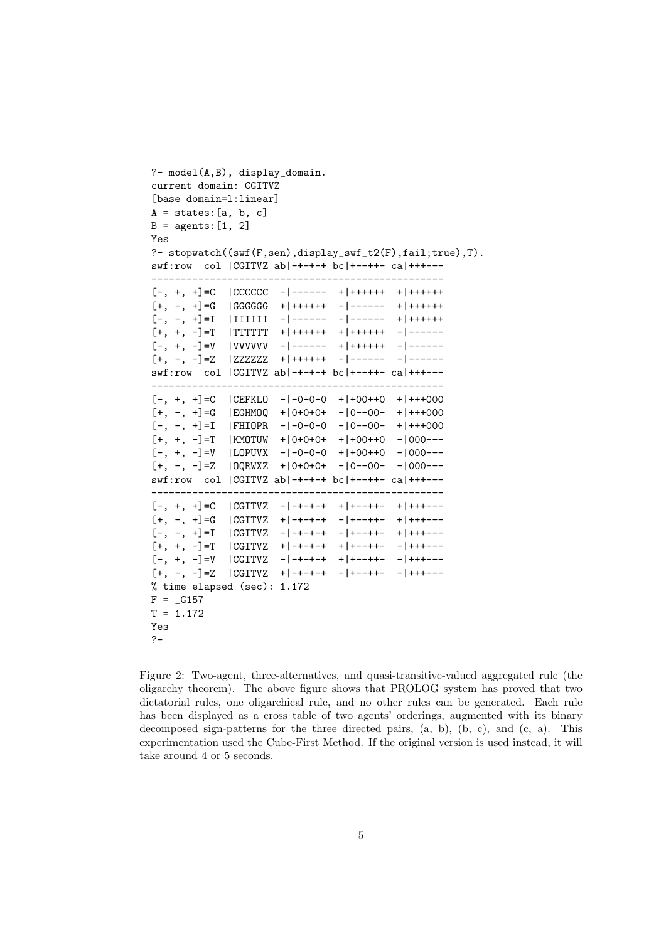```
?- model(A,B), display_domain.
current domain: CGITVZ
[base domain=l:linear]
A = states: [a, b, c]
B = \text{agents}: [1, 2]Yes
?- stopwatch((swf(F,sen),display_swf_t2(F),fail;true),T).
swf:row col |CGITYZ ab|-+-+-+ bc|+--++- ca|++--------------------------------------------------
[-, +, +]=C |CCCCCC -|------ +|++++++ +|++++++
[+, -, +]=G |GGGGGG +|++++++ -|------ +|++++++
[-, -, +]=I |IIIIII -|------ -|------ +|++++++
[+, +, -]=T |TTTTTT +|++++++ +|++++++ -|------
[-, +, -] = V |VVVVVV -|------ +|++++++ -|------
[+, -, -]=Z |ZZZZZZ +|++++++ -|------ -|------
swf:row col |CGITVZ ab|-+-+-+ bc|+--++- ca|+++---
--------------------------------------------------
[-, +, +] = C | CEFKLO - | -0 - 0 - 0 + | +00 + 0 + | +++000[+, -, +] = G | EGHMOQ + | 0+0+0+ - | 0--00- + | + + + + 000
[-, -, +] = I | FHIOPR - |-0-0-0 - |0--00- + |+++000[+, +, -] = T |KMOTUW + | 0+0+0+ + | +00++0 - | 000---
[-, +, -]=V |LOPUVX -|-0-0-0 +|+00++0 -|000---[-, -, -] = Z | 0QRWXZ + | 0+0+0+ - | 0--00- - | 000---
swf:row col |CGITVZ ab|-+-+-+ bc|+--++- ca|+++---
--------------------------------------------------
[-, +, +] = C | CGITVZ - | -+-+-+ + | +--++- + | ++++---<br>[+, -, +] = G | CGITVZ + | -+-+-+ - | +--++- + | +++---
             |CGITVZ + | - + - + - + - | + - - + + - + | + + + - - -[-, -, +]=I |CGITYZ - ]-+-+-+ -|+--++- +|+++---
[-+, +, -] = T | CGITVZ + | -+-+-+ + | +--++- -| +++---
[-, +, -]=V | CGITVZ - | -+-+-+ + | +--++- - | +++---
[-, -, -] = Z | CGITVZ + | -+-+-+ - | +--++- - | +++---
% time elapsed (sec): 1.172
F = \_G157T = 1.172Yes
?-
```
Figure 2: Two-agent, three-alternatives, and quasi-transitive-valued aggregated rule (the oligarchy theorem). The above figure shows that PROLOG system has proved that two dictatorial rules, one oligarchical rule, and no other rules can be generated. Each rule has been displayed as a cross table of two agents' orderings, augmented with its binary decomposed sign-patterns for the three directed pairs, (a, b), (b, c), and (c, a). This experimentation used the Cube-First Method. If the original version is used instead, it will take around 4 or 5 seconds.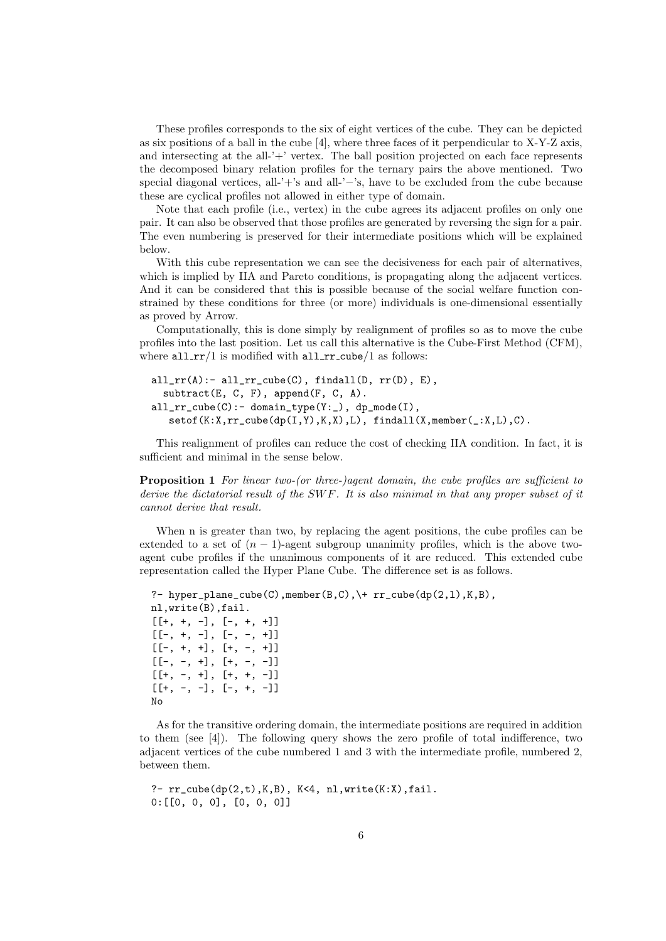These profiles corresponds to the six of eight vertices of the cube. They can be depicted as six positions of a ball in the cube [4], where three faces of it perpendicular to X-Y-Z axis, and intersecting at the all-' $+$ ' vertex. The ball position projected on each face represents the decomposed binary relation profiles for the ternary pairs the above mentioned. Two special diagonal vertices, all-'+'s and all-'−'s, have to be excluded from the cube because these are cyclical profiles not allowed in either type of domain.

Note that each profile (i.e., vertex) in the cube agrees its adjacent profiles on only one pair. It can also be observed that those profiles are generated by reversing the sign for a pair. The even numbering is preserved for their intermediate positions which will be explained below.

With this cube representation we can see the decisiveness for each pair of alternatives, which is implied by IIA and Pareto conditions, is propagating along the adjacent vertices. And it can be considered that this is possible because of the social welfare function constrained by these conditions for three (or more) individuals is one-dimensional essentially as proved by Arrow.

Computationally, this is done simply by realignment of profiles so as to move the cube profiles into the last position. Let us call this alternative is the Cube-First Method (CFM), where  $allrr/1$  is modified with  $allrr$  cube/1 as follows:

```
all\_rr(A):= all\_rr\_cube(C), findall(D, rr(D), E),
  subtract(E, C, F), append(F, C, A).
all_rr_cube(C):- domain_type(Y:_), dp_mode(I),
   setof(K:X,rr\_cube(dp(I,Y),K,X),L), findall(X,member(_:X,L),C).
```
This realignment of profiles can reduce the cost of checking IIA condition. In fact, it is sufficient and minimal in the sense below.

Proposition 1 For linear two-(or three-)agent domain, the cube profiles are sufficient to derive the dictatorial result of the  $SWF$ . It is also minimal in that any proper subset of it cannot derive that result.

When n is greater than two, by replacing the agent positions, the cube profiles can be extended to a set of  $(n - 1)$ -agent subgroup unanimity profiles, which is the above twoagent cube profiles if the unanimous components of it are reduced. This extended cube representation called the Hyper Plane Cube. The difference set is as follows.

```
?- hyper_plane_cube(C),member(B,C),\+ rr_cube(dp(2,1),K,B),
nl,write(B),fail.
[ [ +, +, -], [ -, +, + ] ][[-, +, -], [-, -, +]][[-, +, +], [+, -, +]][[-, -, +], [+, -, -]][ [ +, -, +], [ +, +, - ] ][ [ +, -, - ] , [ -, +, - ] ]No
```
As for the transitive ordering domain, the intermediate positions are required in addition to them (see [4]). The following query shows the zero profile of total indifference, two adjacent vertices of the cube numbered 1 and 3 with the intermediate profile, numbered 2, between them.

```
?- rr\_cube(dp(2,t),K,B), K<4, nl, write(K:X), fail.
0:[[0, 0, 0], [0, 0, 0]]
```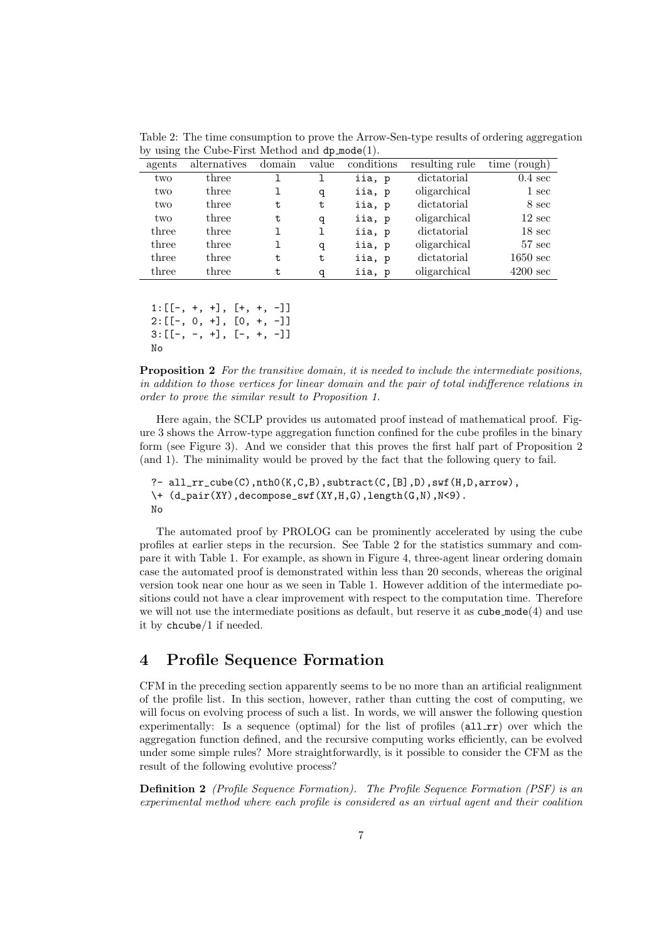| agents | alternatives | domain | value | conditions | resulting rule | (rough)<br>time    |
|--------|--------------|--------|-------|------------|----------------|--------------------|
| two    | three        |        |       | iia, p     | dictatorial    | $0.4 \text{ sec}$  |
| two    | three        |        | q     | iia, p     | oligarchical   | $1 \sec$           |
| two    | three        | t      | t     | iia, p     | dictatorial    | 8 sec              |
| two    | three        | t      | q     | iia, p     | oligarchical   | $12 \text{ sec}$   |
| three  | three        |        | ı     | iia, p     | dictatorial    | $18 \text{ sec}$   |
| three  | three        |        | q     | iia, p     | oligarchical   | $57 \text{ sec}$   |
| three  | three        | t      | t     | iia, p     | dictatorial    | $1650 \text{ sec}$ |
| three  | three        | t      | q     | iia, p     | oligarchical   | $4200 \text{ sec}$ |

Table 2: The time consumption to prove the Arrow-Sen-type results of ordering aggregation by using the Cube-First Method and dp mode(1).

 $1: [[-, +, +], [[+, +, -]]$  $2: [[-, 0, +], [0, +, -]]$  $3: [[-, -, +], [-, +, -]]$ No

**Proposition 2** For the transitive domain, it is needed to include the intermediate positions, in addition to those vertices for linear domain and the pair of total indifference relations in order to prove the similar result to Proposition 1.

Here again, the SCLP provides us automated proof instead of mathematical proof. Figure 3 shows the Arrow-type aggregation function confined for the cube profiles in the binary form (see Figure 3). And we consider that this proves the first half part of Proposition 2 (and 1). The minimality would be proved by the fact that the following query to fail.

```
?- all_rr_cube(C),nth0(K,C,B),subtract(C,[B],D),swf(H,D,arrow),
\+ (d_pair(XY),decompose_swf(XY,H,G),length(G,N),N<9).
No
```
The automated proof by PROLOG can be prominently accelerated by using the cube profiles at earlier steps in the recursion. See Table 2 for the statistics summary and compare it with Table 1. For example, as shown in Figure 4, three-agent linear ordering domain case the automated proof is demonstrated within less than 20 seconds, whereas the original version took near one hour as we seen in Table 1. However addition of the intermediate positions could not have a clear improvement with respect to the computation time. Therefore we will not use the intermediate positions as default, but reserve it as  $\text{cube\_mode}(4)$  and use it by chcube/1 if needed.

#### 4 Profile Sequence Formation

CFM in the preceding section apparently seems to be no more than an artificial realignment of the profile list. In this section, however, rather than cutting the cost of computing, we will focus on evolving process of such a list. In words, we will answer the following question experimentally: Is a sequence (optimal) for the list of profiles  $(allrr)$  over which the aggregation function defined, and the recursive computing works efficiently, can be evolved under some simple rules? More straightforwardly, is it possible to consider the CFM as the result of the following evolutive process?

**Definition 2** (Profile Sequence Formation). The Profile Sequence Formation (PSF) is an experimental method where each profile is considered as an virtual agent and their coalition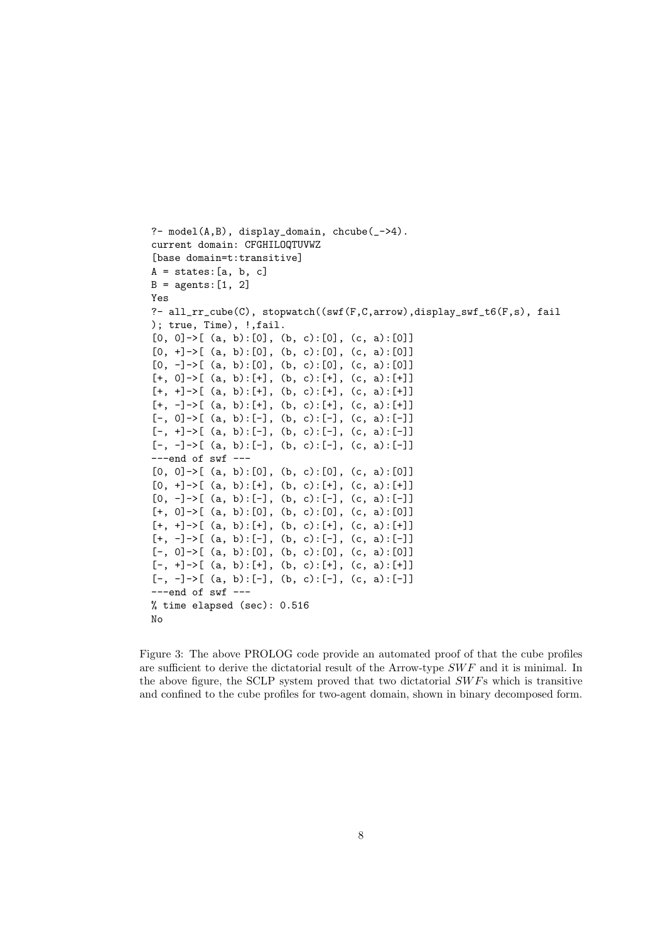```
?- model(A,B), display_domain, chcube(->4).
current domain: CFGHILOQTUVWZ
[base domain=t:transitive]
A = states: [a, b, c]B = \text{agents} : [1, 2]Yes
?- all_rr_cube(C), stopwatch((swf(F,C,arrow),display_swf_t6(F,s), fail
); true, Time), !,fail.
[0, 0] \rightarrow [ (a, b) : [0], (b, c) : [0], (c, a) : [0]][0, +]-[ (a, b):[0], (b, c):[0], (c, a):[0]][0, -]-\sum (a, b): [0], (b, c): [0], (c, a): [0]]
[+, 0] \rightarrow [ (a, b) : [+], (b, c) : [+], (c, a) : [+]][+, +] ->[ (a, b):[+], (b, c):[+], (c, a):[+]]
[+, -]-\sum (a, b): [+], (b, c): [+], (c, a): [+][-, 0] \rightarrow [ (a, b) : [-], (b, c) : [-], (c, a) : [-]][-, +]-[ (a, b):[-], (b, c):[-], (c, a):[-][-, -]-\{ (a, b): [-], (b, c): [-], (c, a): [-]\}---end of swf ---
[0, 0] \rightarrow [ (a, b) : [0], (b, c) : [0], (c, a) : [0]][0, +]-\sum (a, b):[+], (b, c):[+], (c, a):[+]][0, -]-\sum (a, b): [-], (b, c): [-], (c, a): [-][+, 0] \rightarrow [ (a, b) : [0], (b, c) : [0], (c, a) : [0]][+, +]->[ (a, b):[+] , (b, c):[+] , (c, a):[+][+, -]-\rangle [ (a, b): [-], (b, c): [-], (c, a): [-]][-, 0] \rightarrow [ (a, b) : [0], (b, c) : [0], (c, a) : [0]][-, +]-\{ (a, b): [+], (b, c): [+], (c, a): [+] \}[-, -]-\{ (a, b): [-], (b, c): [-], (c, a): [-]\}---end of swf ---
% time elapsed (sec): 0.516
No
```
Figure 3: The above PROLOG code provide an automated proof of that the cube profiles are sufficient to derive the dictatorial result of the Arrow-type  $SWF$  and it is minimal. In the above figure, the SCLP system proved that two dictatorial  $SWFs$  which is transitive and confined to the cube profiles for two-agent domain, shown in binary decomposed form.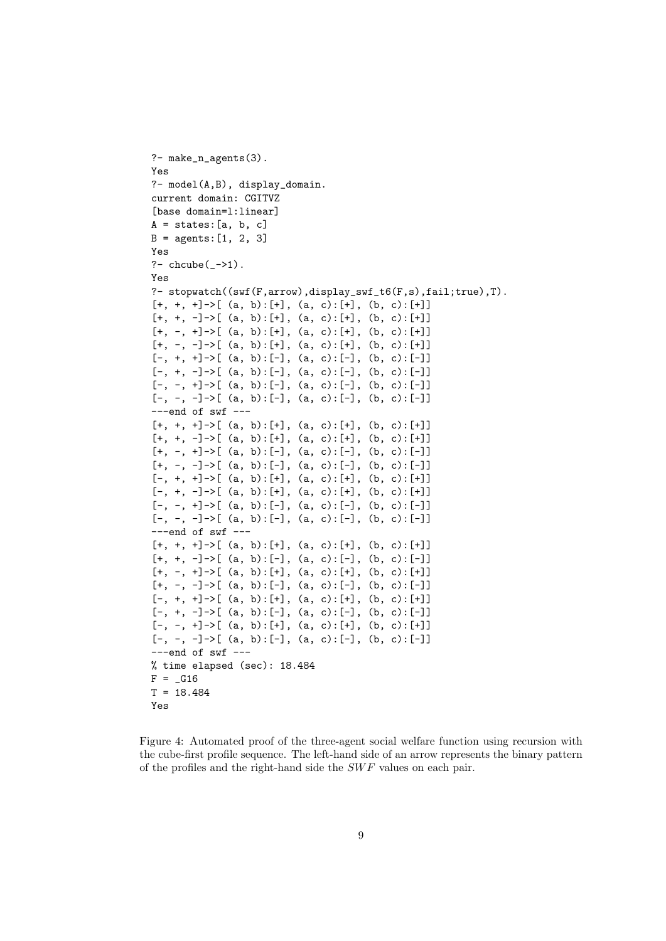```
?- make_n_agents(3).
Yes
?- model(A,B), display_domain.
current domain: CGITVZ
[base domain=l:linear]
A = states: [a, b, c]B = \text{agents}: [1, 2, 3]Yes
?- chcube(->1).
Yes
?- stopwatch((swf(F,arrow),display_swf_t6(F,s),fail;true),T).
[+, +, +] ->[ (a, b):[+], (a, c):[+], (b, c):[+]]
[+, +, -] ->[ (a, b) : [+], (a, c) : [+], (b, c) : [+][+, -, +] ->[ (a, b) : [+], (a, c) : [+], (b, c) : [+][+, -, -] \rightarrow [ (a, b) : [+], (a, c) : [+], (b, c) : [+][-, +, +]->[ (a, b):[-], (a, c):[-], (b, c):[-]]
[-, +, -] \rightarrow [ (a, b) : [-], (a, c) : [-], (b, c) : [-][-, -, +] \rightarrow [ (a, b) : [-], (a, c) : [-], (b, c) : [-][-, -, -] \rightarrow [ (a, b) : [-], (a, c) : [-], (b, c) : [-]]
---end of swf ---
[+, +, +]->[ (a, b) : [+], (a, c) : [+], (b, c) : [+][+, +, -] -> [ (a, b) : [+], (a, c) : [+], (b, c) : [+][+, -, +] ->[ (a, b) : [-], (a, c) : [-], (b, c) : [-][+, -, -] \rightarrow [ (a, b) : [-], (a, c) : [-], (b, c) : [-]]
[-, +, +] ->[ (a, b):[+], (a, c):[+], (b, c):[+]]
[-, +, -]-[ (a, b): [+], (a, c): [+], (b, c): [+]][-, -, +] \rightarrow [ (a, b) : [-], (a, c) : [-], (b, c) : [-][-, -, -] ->[ (a, b):[-], (a, c):[-], (b, c):[-]]
---end of swf ---
[+, +, +] ->[ (a, b) : [+], (a, c) : [+], (b, c) : [+][+, +, -] ->[ (a, b) : [-], (a, c) : [-], (b, c) : [-] ][+, -, +] \rightarrow [ (a, b) : [+], (a, c) : [+], (b, c) : [+][-, -, -] \rightarrow [ (a, b) : [-], (a, c) : [-], (b, c) : [-][-, +, +]->[ (a, b):[+], (a, c):[+], (b, c):[+]]
[-, +, -]-\Sigma (a, b): [-], (a, c): [-], (b, c): [-]]
[-, -, +] \rightarrow [ (a, b) : [+], (a, c) : [+], (b, c) : [+][-, -, -] \rightarrow [ (a, b) : [-], (a, c) : [-], (b, c) : [-]]
---end of swf ---
% time elapsed (sec): 18.484
F = _G16T = 18.484Yes
```
Figure 4: Automated proof of the three-agent social welfare function using recursion with the cube-first profile sequence. The left-hand side of an arrow represents the binary pattern of the profiles and the right-hand side the  $SWF$  values on each pair.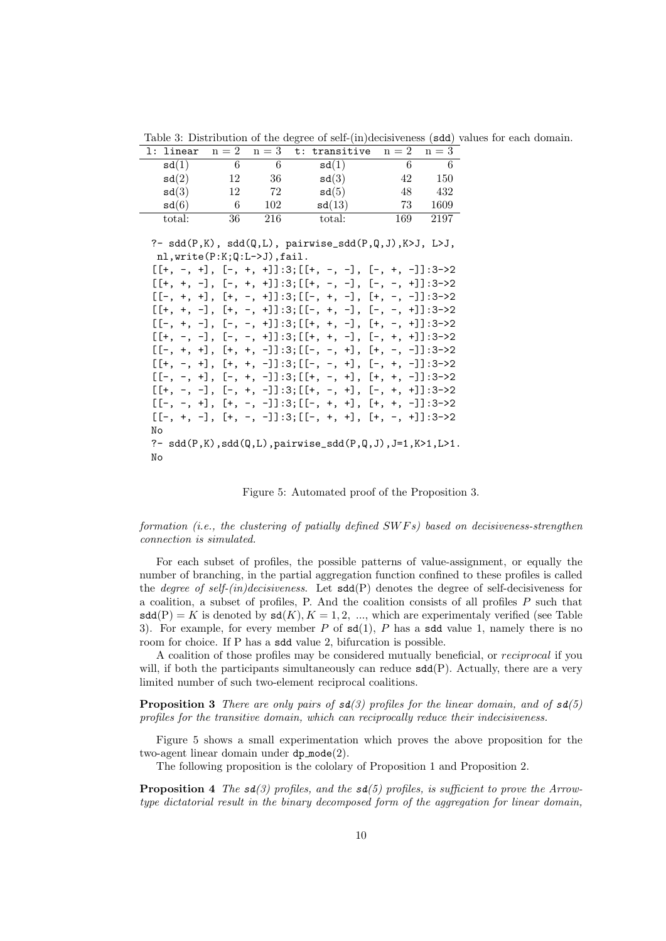Table 3: Distribution of the degree of self-(in)decisiveness (sdd) values for each domain.

| l: linear |    |     | $n=2$ $n=3$ t: transitive $n=2$ $n=3$ |     |      |
|-----------|----|-----|---------------------------------------|-----|------|
| sd(1)     |    |     | sd(1)                                 |     |      |
| sd(2)     | 12 | 36  | sd(3)                                 | 42  | 150  |
| sd(3)     | 12 | 72  | sd(5)                                 | 48  | 432  |
| sd(6)     | 6  | 102 | sd(13)                                | 73  | 1609 |
| total:    | 36 | 216 | total:                                | 169 | 2197 |

?-  $sdd(P,K)$ ,  $sdd(Q,L)$ ,  $pairwise_sdd(P,Q,J)$ ,  $K>J$ ,  $L>J$ , nl,write(P:K;Q:L->J),fail.  $\begin{bmatrix} 1 & 1 \\ -1 & 1 \end{bmatrix}$   $\begin{bmatrix} 1 & 1 \\ -1 & 1 \end{bmatrix}$ :3; $\begin{bmatrix} 1 & 2 \\ 1 & 2 \end{bmatrix}$   $\begin{bmatrix} 1 & 2 \\ 1 & 1 \end{bmatrix}$   $\begin{bmatrix} 1 & 2 \\ 2 & 1 \end{bmatrix}$ 

| LL+, −, +」, L−, +, +」」:3;LL+, −, −」, L−, +, −」」:3−>2                         |
|------------------------------------------------------------------------------|
| $[ [+, +, -], [-, +, +]]:3; [[+, -, -], [-, -, +]]:3->2$                     |
| $[[-, +, +], [+, -, +]]:3; [[-, +, -], [+, -, -]]:3\rightarrow2$             |
| $[ [+, +, -], [ +, -, +] ]:3; [[ -, +, -], [ -, -, +]]:3->2$                 |
| $[[-, +, -], [-, -, +]]:3; [[+, +, -], [+, -, +]]:3->2$                      |
| [[+, -, -], [-, -, +]]:3;[[+, +, -], [-, +, +]]:3->2                         |
| [[-, +, +], [+, +, -]]:3;[[-, -, +], [+, -, -]]:3->2                         |
| [[+, -, +], [+, +, -]]:3;[[-, -, +], [-, +, -]]:3->2                         |
| [[-, -, +], [-, +, -]]:3;[[+, -, +], [+, +, -]]:3->2                         |
| $[[+, -, -], [-, +, -]]:3; [[+, -, +], [-, +, +]]:3-\geq 2$                  |
| $[[-, -, +], [+, -, -]]:3; [[-, +, +], [+, +, -]]:3\text{->2}$               |
| $[[-, +, -], [+, -, -]]:3; [[-, +, +], [+, -, +]]:3\rightarrow2$             |
| Νo                                                                           |
| ?- $sdd(P,K)$ , $sdd(Q,L)$ , $pairwise_sdd(P,Q,J)$ , $J=1$ , $K>1$ , $L>1$ . |
| No                                                                           |

Figure 5: Automated proof of the Proposition 3.

formation (i.e., the clustering of patially defined  $SWFs$ ) based on decisiveness-strengthen connection is simulated.

For each subset of profiles, the possible patterns of value-assignment, or equally the number of branching, in the partial aggregation function confined to these profiles is called the *degree of self-(in)decisiveness*. Let  $sdd(P)$  denotes the degree of self-decisiveness for a coalition, a subset of profiles, P. And the coalition consists of all profiles P such that  $sdd(P) = K$  is denoted by  $sd(K), K = 1, 2, ...,$  which are experimentaly verified (see Table 3). For example, for every member  $P$  of  $sd(1)$ ,  $P$  has a sdd value 1, namely there is no room for choice. If P has a sdd value 2, bifurcation is possible.

A coalition of those profiles may be considered mutually beneficial, or reciprocal if you will, if both the participants simultaneously can reduce  $sd(P)$ . Actually, there are a very limited number of such two-element reciprocal coalitions.

**Proposition 3** There are only pairs of  $sd(3)$  profiles for the linear domain, and of  $sd(5)$ profiles for the transitive domain, which can reciprocally reduce their indecisiveness.

Figure 5 shows a small experimentation which proves the above proposition for the two-agent linear domain under  $dp$  mode $(2)$ .

The following proposition is the cololary of Proposition 1 and Proposition 2.

**Proposition 4** The  $sd(3)$  profiles, and the  $sd(5)$  profiles, is sufficient to prove the Arrowtype dictatorial result in the binary decomposed form of the aggregation for linear domain,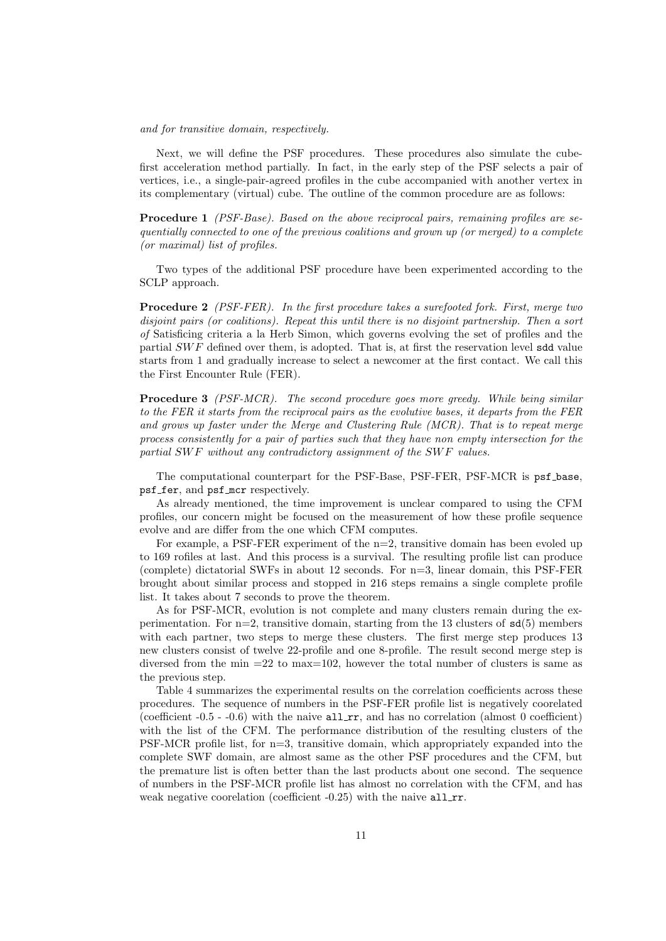and for transitive domain, respectively.

Next, we will define the PSF procedures. These procedures also simulate the cubefirst acceleration method partially. In fact, in the early step of the PSF selects a pair of vertices, i.e., a single-pair-agreed profiles in the cube accompanied with another vertex in its complementary (virtual) cube. The outline of the common procedure are as follows:

**Procedure 1** (PSF-Base). Based on the above reciprocal pairs, remaining profiles are sequentially connected to one of the previous coalitions and grown up (or merged) to a complete (or maximal) list of profiles.

Two types of the additional PSF procedure have been experimented according to the SCLP approach.

**Procedure 2** (PSF-FER). In the first procedure takes a surefooted fork. First, merge two disjoint pairs (or coalitions). Repeat this until there is no disjoint partnership. Then a sort of Satisficing criteria a la Herb Simon, which governs evolving the set of profiles and the partial  $SWF$  defined over them, is adopted. That is, at first the reservation level  $sdd$  value starts from 1 and gradually increase to select a newcomer at the first contact. We call this the First Encounter Rule (FER).

**Procedure 3** (PSF-MCR). The second procedure goes more greedy. While being similar to the FER it starts from the reciprocal pairs as the evolutive bases, it departs from the FER and grows up faster under the Merge and Clustering Rule (MCR). That is to repeat merge process consistently for a pair of parties such that they have non empty intersection for the partial  $SWF$  without any contradictory assignment of the  $SWF$  values.

The computational counterpart for the PSF-Base, PSF-FER, PSF-MCR is psf base, psf fer, and psf mcr respectively.

As already mentioned, the time improvement is unclear compared to using the CFM profiles, our concern might be focused on the measurement of how these profile sequence evolve and are differ from the one which CFM computes.

For example, a PSF-FER experiment of the n=2, transitive domain has been evoled up to 169 rofiles at last. And this process is a survival. The resulting profile list can produce (complete) dictatorial SWFs in about 12 seconds. For n=3, linear domain, this PSF-FER brought about similar process and stopped in 216 steps remains a single complete profile list. It takes about 7 seconds to prove the theorem.

As for PSF-MCR, evolution is not complete and many clusters remain during the experimentation. For  $n=2$ , transitive domain, starting from the 13 clusters of  $sd(5)$  members with each partner, two steps to merge these clusters. The first merge step produces 13 new clusters consist of twelve 22-profile and one 8-profile. The result second merge step is diversed from the min  $=22$  to max $=102$ , however the total number of clusters is same as the previous step.

Table 4 summarizes the experimental results on the correlation coefficients across these procedures. The sequence of numbers in the PSF-FER profile list is negatively coorelated (coefficient  $-0.5$  -  $-0.6$ ) with the naive all  $rr$ , and has no correlation (almost 0 coefficient) with the list of the CFM. The performance distribution of the resulting clusters of the PSF-MCR profile list, for n=3, transitive domain, which appropriately expanded into the complete SWF domain, are almost same as the other PSF procedures and the CFM, but the premature list is often better than the last products about one second. The sequence of numbers in the PSF-MCR profile list has almost no correlation with the CFM, and has weak negative coorelation (coefficient -0.25) with the naive all\_rr.